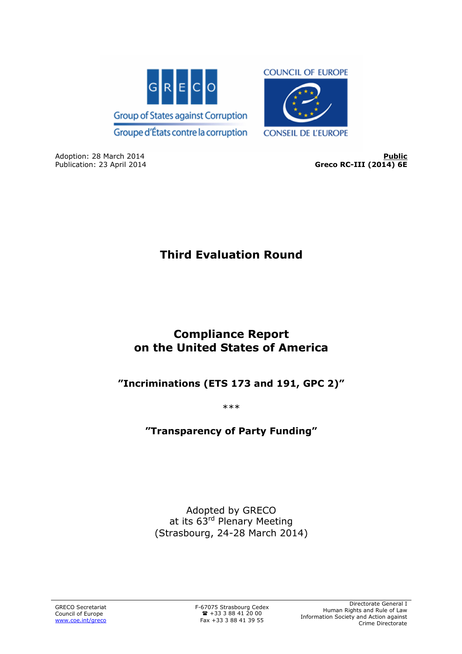

Adoption: 28 March 2014<br>
Publication: 23 April 2014 **Publician: 23 April 2014 Publication: 23 April 2014** Greco RC-III (2014) 6E

# **Third Evaluation Round**

## **Compliance Report on the United States of America**

## **"Incriminations (ETS 173 and 191, GPC 2)"**

\*\*\*

## **"Transparency of Party Funding"**

Adopted by GRECO at its 63<sup>rd</sup> Plenary Meeting (Strasbourg, 24-28 March 2014)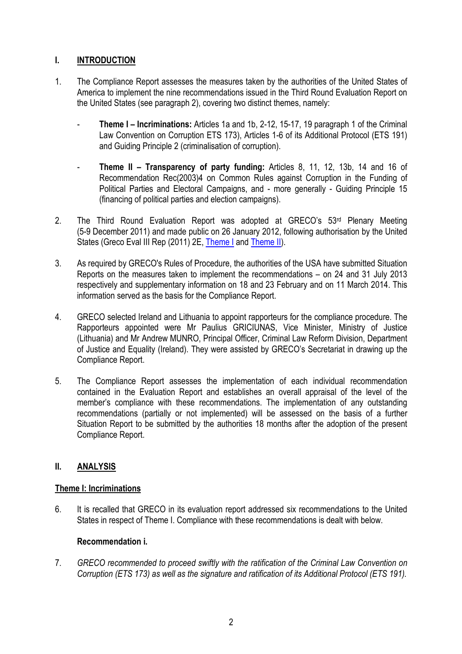## **I. INTRODUCTION**

- 1. The Compliance Report assesses the measures taken by the authorities of the United States of America to implement the nine recommendations issued in the Third Round Evaluation Report on the United States (see paragraph 2), covering two distinct themes, namely:
	- **Theme I Incriminations:** Articles 1a and 1b, 2-12, 15-17, 19 paragraph 1 of the Criminal Law Convention on Corruption ETS 173), Articles 1-6 of its Additional Protocol (ETS 191) and Guiding Principle 2 (criminalisation of corruption).
	- **Theme II Transparency of party funding:** Articles 8, 11, 12, 13b, 14 and 16 of Recommendation Rec(2003)4 on Common Rules against Corruption in the Funding of Political Parties and Electoral Campaigns, and - more generally - Guiding Principle 15 (financing of political parties and election campaigns).
- 2. The Third Round Evaluation Report was adopted at GRECO's 53<sup>rd</sup> Plenary Meeting (5-9 December 2011) and made public on 26 January 2012, following authorisation by the United States (Greco Eval III Rep (2011) 2E. Theme I and Theme II).
- 3. As required by GRECO's Rules of Procedure, the authorities of the USA have submitted Situation Reports on the measures taken to implement the recommendations – on 24 and 31 July 2013 respectively and supplementary information on 18 and 23 February and on 11 March 2014. This information served as the basis for the Compliance Report.
- 4. GRECO selected Ireland and Lithuania to appoint rapporteurs for the compliance procedure. The Rapporteurs appointed were Mr Paulius GRICIUNAS, Vice Minister, Ministry of Justice (Lithuania) and Mr Andrew MUNRO, Principal Officer, Criminal Law Reform Division, Department of Justice and Equality (Ireland). They were assisted by GRECO's Secretariat in drawing up the Compliance Report.
- 5. The Compliance Report assesses the implementation of each individual recommendation contained in the Evaluation Report and establishes an overall appraisal of the level of the member's compliance with these recommendations. The implementation of any outstanding recommendations (partially or not implemented) will be assessed on the basis of a further Situation Report to be submitted by the authorities 18 months after the adoption of the present Compliance Report.

## **II. ANALYSIS**

## **Theme I: Incriminations**

6. It is recalled that GRECO in its evaluation report addressed six recommendations to the United States in respect of Theme I. Compliance with these recommendations is dealt with below.

## **Recommendation i.**

7. *GRECO recommended to proceed swiftly with the ratification of the Criminal Law Convention on Corruption (ETS 173) as well as the signature and ratification of its Additional Protocol (ETS 191).*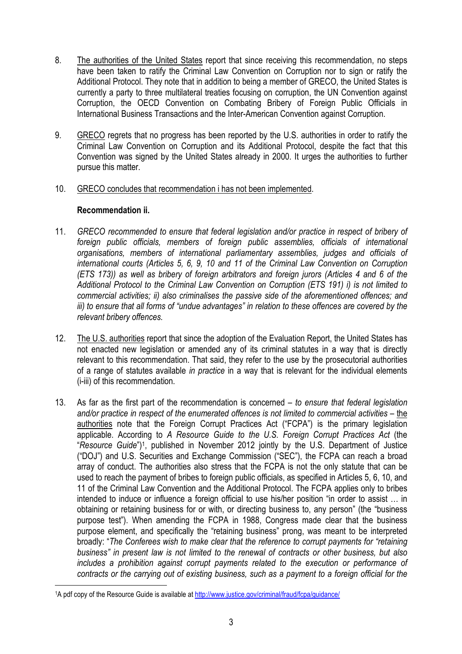- 8. The authorities of the United States report that since receiving this recommendation, no steps have been taken to ratify the Criminal Law Convention on Corruption nor to sign or ratify the Additional Protocol. They note that in addition to being a member of GRECO, the United States is currently a party to three multilateral treaties focusing on corruption, the UN Convention against Corruption, the OECD Convention on Combating Bribery of Foreign Public Officials in International Business Transactions and the Inter-American Convention against Corruption.
- 9. GRECO regrets that no progress has been reported by the U.S. authorities in order to ratify the Criminal Law Convention on Corruption and its Additional Protocol, despite the fact that this Convention was signed by the United States already in 2000. It urges the authorities to further pursue this matter.
- 10. GRECO concludes that recommendation i has not been implemented.

#### **Recommendation ii.**

- 11. *GRECO recommended to ensure that federal legislation and/or practice in respect of bribery of foreign public officials, members of foreign public assemblies, officials of international organisations, members of international parliamentary assemblies, judges and officials of international courts (Articles 5, 6, 9, 10 and 11 of the Criminal Law Convention on Corruption (ETS 173)) as well as bribery of foreign arbitrators and foreign jurors (Articles 4 and 6 of the Additional Protocol to the Criminal Law Convention on Corruption (ETS 191) i) is not limited to commercial activities; ii) also criminalises the passive side of the aforementioned offences; and iii) to ensure that all forms of "undue advantages" in relation to these offences are covered by the relevant bribery offences.*
- 12. The U.S. authorities report that since the adoption of the Evaluation Report, the United States has not enacted new legislation or amended any of its criminal statutes in a way that is directly relevant to this recommendation. That said, they refer to the use by the prosecutorial authorities of a range of statutes available *in practice* in a way that is relevant for the individual elements (i-iii) of this recommendation.
- 13. As far as the first part of the recommendation is concerned *to ensure that federal legislation and/or practice in respect of the enumerated offences is not limited to commercial activities* – the authorities note that the Foreign Corrupt Practices Act ("FCPA") is the primary legislation applicable. According to *A Resource Guide to the U.S. Foreign Corrupt Practices Act* (the "*Resource Guide*")<sup>1</sup> , published in November 2012 jointly by the U.S. Department of Justice ("DOJ") and U.S. Securities and Exchange Commission ("SEC"), the FCPA can reach a broad array of conduct. The authorities also stress that the FCPA is not the only statute that can be used to reach the payment of bribes to foreign public officials, as specified in Articles 5, 6, 10, and 11 of the Criminal Law Convention and the Additional Protocol. The FCPA applies only to bribes intended to induce or influence a foreign official to use his/her position "in order to assist … in obtaining or retaining business for or with, or directing business to, any person" (the "business purpose test"). When amending the FCPA in 1988, Congress made clear that the business purpose element, and specifically the "retaining business" prong, was meant to be interpreted broadly: "*The Conferees wish to make clear that the reference to corrupt payments for "retaining business" in present law is not limited to the renewal of contracts or other business, but also includes a prohibition against corrupt payments related to the execution or performance of contracts or the carrying out of existing business, such as a payment to a foreign official for the*   $\overline{a}$

<sup>&</sup>lt;sup>1</sup>A pdf copy of the Resource Guide is available at http://www.justice.gov/criminal/fraud/fcpa/guidance/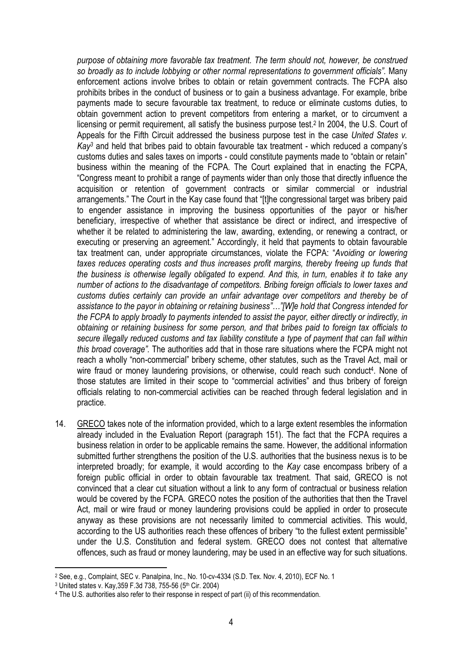*purpose of obtaining more favorable tax treatment. The term should not, however, be construed so broadly as to include lobbying or other normal representations to government officials".* Many enforcement actions involve bribes to obtain or retain government contracts. The FCPA also prohibits bribes in the conduct of business or to gain a business advantage. For example, bribe payments made to secure favourable tax treatment, to reduce or eliminate customs duties, to obtain government action to prevent competitors from entering a market, or to circumvent a licensing or permit requirement, all satisfy the business purpose test.<sup>2</sup> In 2004, the U.S. Court of Appeals for the Fifth Circuit addressed the business purpose test in the case *United States v. Kay<sup>3</sup>* and held that bribes paid to obtain favourable tax treatment - which reduced a company's customs duties and sales taxes on imports - could constitute payments made to "obtain or retain" business within the meaning of the FCPA. The Court explained that in enacting the FCPA, "Congress meant to prohibit a range of payments wider than only those that directly influence the acquisition or retention of government contracts or similar commercial or industrial arrangements." The *C*ourt in the Kay case found that "[t]he congressional target was bribery paid to engender assistance in improving the business opportunities of the payor or his/her beneficiary, irrespective of whether that assistance be direct or indirect, and irrespective of whether it be related to administering the law, awarding, extending, or renewing a contract, or executing or preserving an agreement." Accordingly, it held that payments to obtain favourable tax treatment can, under appropriate circumstances, violate the FCPA: "*Avoiding or lowering taxes reduces operating costs and thus increases profit margins, thereby freeing up funds that the business is otherwise legally obligated to expend. And this, in turn, enables it to take any number of actions to the disadvantage of competitors. Bribing foreign officials to lower taxes and customs duties certainly can provide an unfair advantage over competitors and thereby be of assistance to the payor in obtaining or retaining business"…"[W]e hold that Congress intended for the FCPA to apply broadly to payments intended to assist the payor, either directly or indirectly, in obtaining or retaining business for some person, and that bribes paid to foreign tax officials to secure illegally reduced customs and tax liability constitute a type of payment that can fall within this broad coverage".* The authorities add that in those rare situations where the FCPA might not reach a wholly "non-commercial" bribery scheme, other statutes, such as the Travel Act, mail or wire fraud or money laundering provisions, or otherwise, could reach such conduct<sup>4</sup>. None of those statutes are limited in their scope to "commercial activities" and thus bribery of foreign officials relating to non-commercial activities can be reached through federal legislation and in practice.

14. GRECO takes note of the information provided, which to a large extent resembles the information already included in the Evaluation Report (paragraph 151). The fact that the FCPA requires a business relation in order to be applicable remains the same. However, the additional information submitted further strengthens the position of the U.S. authorities that the business nexus is to be interpreted broadly; for example, it would according to the *Kay* case encompass bribery of a foreign public official in order to obtain favourable tax treatment. That said, GRECO is not convinced that a clear cut situation without a link to any form of contractual or business relation would be covered by the FCPA. GRECO notes the position of the authorities that then the Travel Act, mail or wire fraud or money laundering provisions could be applied in order to prosecute anyway as these provisions are not necessarily limited to commercial activities. This would, according to the US authorities reach these offences of bribery "to the fullest extent permissible" under the U.S. Constitution and federal system. GRECO does not contest that alternative offences, such as fraud or money laundering, may be used in an effective way for such situations.

 $\overline{a}$ 

<sup>2</sup> See, e.g., Complaint, SEC v. Panalpina, Inc., No. 10-cv-4334 (S.D. Tex. Nov. 4, 2010), ECF No. 1

<sup>3</sup> United states v. Kay,359 F.3d 738, 755-56 (5th Cir. 2004)

<sup>4</sup> The U.S. authorities also refer to their response in respect of part (ii) of this recommendation.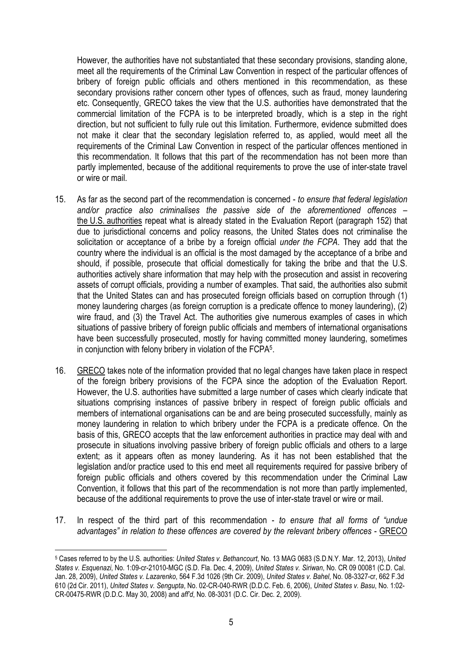However, the authorities have not substantiated that these secondary provisions, standing alone, meet all the requirements of the Criminal Law Convention in respect of the particular offences of bribery of foreign public officials and others mentioned in this recommendation, as these secondary provisions rather concern other types of offences, such as fraud, money laundering etc. Consequently, GRECO takes the view that the U.S. authorities have demonstrated that the commercial limitation of the FCPA is to be interpreted broadly, which is a step in the right direction, but not sufficient to fully rule out this limitation. Furthermore, evidence submitted does not make it clear that the secondary legislation referred to, as applied, would meet all the requirements of the Criminal Law Convention in respect of the particular offences mentioned in this recommendation. It follows that this part of the recommendation has not been more than partly implemented, because of the additional requirements to prove the use of inter-state travel or wire or mail.

- 15. As far as the second part of the recommendation is concerned *to ensure that federal legislation and/or practice also criminalises the passive side of the aforementioned offences* – the U.S. authorities repeat what is already stated in the Evaluation Report (paragraph 152) that due to jurisdictional concerns and policy reasons, the United States does not criminalise the solicitation or acceptance of a bribe by a foreign official *under the FCPA*. They add that the country where the individual is an official is the most damaged by the acceptance of a bribe and should, if possible, prosecute that official domestically for taking the bribe and that the U.S. authorities actively share information that may help with the prosecution and assist in recovering assets of corrupt officials, providing a number of examples. That said, the authorities also submit that the United States can and has prosecuted foreign officials based on corruption through (1) money laundering charges (as foreign corruption is a predicate offence to money laundering), (2) wire fraud, and (3) the Travel Act. The authorities give numerous examples of cases in which situations of passive bribery of foreign public officials and members of international organisations have been successfully prosecuted, mostly for having committed money laundering, sometimes in conjunction with felony bribery in violation of the FCPA<sup>5</sup> .
- 16. GRECO takes note of the information provided that no legal changes have taken place in respect of the foreign bribery provisions of the FCPA since the adoption of the Evaluation Report. However, the U.S. authorities have submitted a large number of cases which clearly indicate that situations comprising instances of passive bribery in respect of foreign public officials and members of international organisations can be and are being prosecuted successfully, mainly as money laundering in relation to which bribery under the FCPA is a predicate offence. On the basis of this, GRECO accepts that the law enforcement authorities in practice may deal with and prosecute in situations involving passive bribery of foreign public officials and others to a large extent; as it appears often as money laundering. As it has not been established that the legislation and/or practice used to this end meet all requirements required for passive bribery of foreign public officials and others covered by this recommendation under the Criminal Law Convention, it follows that this part of the recommendation is not more than partly implemented, because of the additional requirements to prove the use of inter-state travel or wire or mail.
- 17. In respect of the third part of this recommendation *to ensure that all forms of "undue advantages" in relation to these offences are covered by the relevant bribery offences* - GRECO

 $\overline{a}$ 5 Cases referred to by the U.S. authorities: *United States v. Bethancourt*, No. 13 MAG 0683 (S.D.N.Y. Mar. 12, 2013), *United States v. Esquenazi*, No. 1:09-cr-21010-MGC (S.D. Fla. Dec. 4, 2009), *United States v. Siriwan*, No. CR 09 00081 (C.D. Cal. Jan. 28, 2009), *United States v. Lazarenko*, 564 F.3d 1026 (9th Cir. 2009), *United States v. Bahel*, No. 08-3327-cr, 662 F.3d 610 (2d Cir. 2011), *United States v. Sengupta*, No. 02-CR-040-RWR (D.D.C. Feb. 6, 2006), *United States v. Basu*, No. 1:02- CR-00475-RWR (D.D.C. May 30, 2008) and *aff'd*, No. 08-3031 (D.C. Cir. Dec. 2, 2009).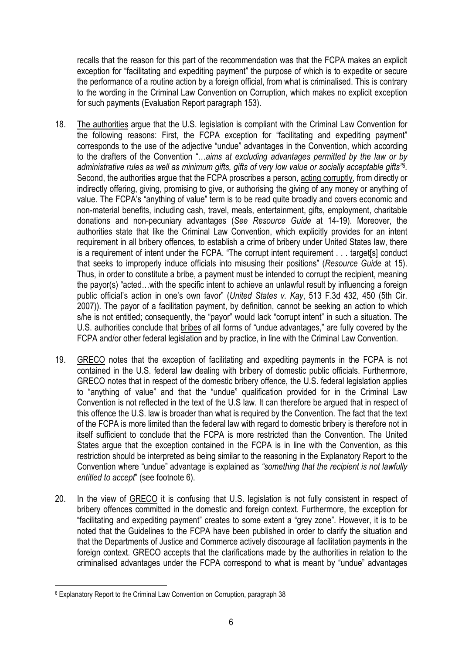recalls that the reason for this part of the recommendation was that the FCPA makes an explicit exception for "facilitating and expediting payment" the purpose of which is to expedite or secure the performance of a routine action by a foreign official, from what is criminalised. This is contrary to the wording in the Criminal Law Convention on Corruption, which makes no explicit exception for such payments (Evaluation Report paragraph 153).

- 18. The authorities argue that the U.S. legislation is compliant with the Criminal Law Convention for the following reasons: First, the FCPA exception for "facilitating and expediting payment" corresponds to the use of the adjective "undue" advantages in the Convention, which according to the drafters of the Convention "…*aims at excluding advantages permitted by the law or by administrative rules as well as minimum gifts, gifts of very low value or socially acceptable gifts"<sup>6</sup> .*  Second, the authorities argue that the FCPA proscribes a person, acting corruptly, from directly or indirectly offering, giving, promising to give, or authorising the giving of any money or anything of value. The FCPA's "anything of value" term is to be read quite broadly and covers economic and non-material benefits, including cash, travel, meals, entertainment, gifts, employment, charitable donations and non-pecuniary advantages (*See Resource Guide* at 14-19). Moreover, the authorities state that like the Criminal Law Convention, which explicitly provides for an intent requirement in all bribery offences, to establish a crime of bribery under United States law, there is a requirement of intent under the FCPA. "The corrupt intent requirement . . . target[s] conduct that seeks to improperly induce officials into misusing their positions" (*Resource Guide* at 15). Thus, in order to constitute a bribe, a payment must be intended to corrupt the recipient, meaning the payor(s) "acted…with the specific intent to achieve an unlawful result by influencing a foreign public official's action in one's own favor" (*United States v. Kay*, 513 F.3d 432, 450 (5th Cir. 2007)). The payor of a facilitation payment, by definition, cannot be seeking an action to which s/he is not entitled; consequently, the "payor" would lack "corrupt intent" in such a situation. The U.S. authorities conclude that bribes of all forms of "undue advantages," are fully covered by the FCPA and/or other federal legislation and by practice, in line with the Criminal Law Convention.
- 19. GRECO notes that the exception of facilitating and expediting payments in the FCPA is not contained in the U.S. federal law dealing with bribery of domestic public officials. Furthermore, GRECO notes that in respect of the domestic bribery offence, the U.S. federal legislation applies to "anything of value" and that the "undue" qualification provided for in the Criminal Law Convention is not reflected in the text of the U.S law. It can therefore be argued that in respect of this offence the U.S. law is broader than what is required by the Convention. The fact that the text of the FCPA is more limited than the federal law with regard to domestic bribery is therefore not in itself sufficient to conclude that the FCPA is more restricted than the Convention. The United States argue that the exception contained in the FCPA is in line with the Convention, as this restriction should be interpreted as being similar to the reasoning in the Explanatory Report to the Convention where "undue" advantage is explained as *"something that the recipient is not lawfully entitled to accept*" (see footnote 6).
- 20. In the view of GRECO it is confusing that U.S. legislation is not fully consistent in respect of bribery offences committed in the domestic and foreign context. Furthermore, the exception for "facilitating and expediting payment" creates to some extent a "grey zone". However, it is to be noted that the Guidelines to the FCPA have been published in order to clarify the situation and that the Departments of Justice and Commerce actively discourage all facilitation payments in the foreign context. GRECO accepts that the clarifications made by the authorities in relation to the criminalised advantages under the FCPA correspond to what is meant by "undue" advantages

 $\overline{a}$ 6 Explanatory Report to the Criminal Law Convention on Corruption, paragraph 38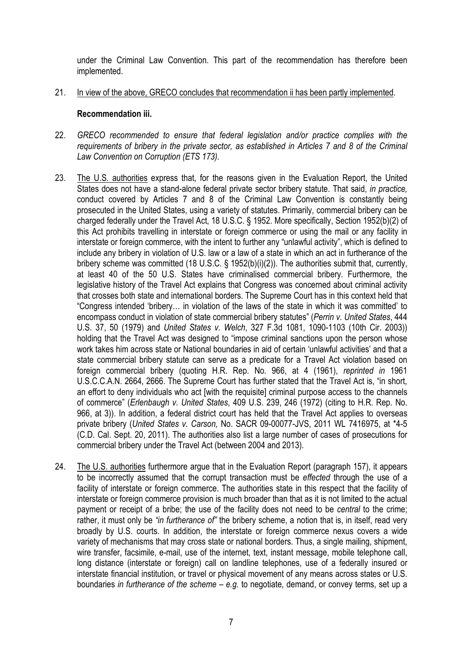under the Criminal Law Convention. This part of the recommendation has therefore been implemented.

21. In view of the above, GRECO concludes that recommendation ii has been partly implemented.

#### **Recommendation iii.**

- 22. *GRECO recommended to ensure that federal legislation and/or practice complies with the requirements of bribery in the private sector, as established in Articles 7 and 8 of the Criminal Law Convention on Corruption (ETS 173).*
- 23. The U.S. authorities express that, for the reasons given in the Evaluation Report, the United States does not have a stand-alone federal private sector bribery statute. That said, *in practice,* conduct covered by Articles 7 and 8 of the Criminal Law Convention is constantly being prosecuted in the United States, using a variety of statutes. Primarily, commercial bribery can be charged federally under the Travel Act, 18 U.S.C. § 1952. More specifically, Section 1952(b)(2) of this Act prohibits travelling in interstate or foreign commerce or using the mail or any facility in interstate or foreign commerce, with the intent to further any "unlawful activity", which is defined to include any bribery in violation of U.S. law or a law of a state in which an act in furtherance of the bribery scheme was committed (18 U.S.C. § 1952(b)(i)(2)). The authorities submit that, currently, at least 40 of the 50 U.S. States have criminalised commercial bribery. Furthermore, the legislative history of the Travel Act explains that Congress was concerned about criminal activity that crosses both state and international borders. The Supreme Court has in this context held that "Congress intended 'bribery… in violation of the laws of the state in which it was committed' to encompass conduct in violation of state commercial bribery statutes" (*Perrin v. United States*, 444 U.S. 37, 50 (1979) and *United States v. Welch*, 327 F.3d 1081, 1090-1103 (10th Cir. 2003)) holding that the Travel Act was designed to "impose criminal sanctions upon the person whose work takes him across state or National boundaries in aid of certain 'unlawful activities' and that a state commercial bribery statute can serve as a predicate for a Travel Act violation based on foreign commercial bribery (quoting H.R. Rep. No. 966, at 4 (1961), *reprinted in* 1961 U.S.C.C.A.N. 2664, 2666. The Supreme Court has further stated that the Travel Act is, "in short, an effort to deny individuals who act [with the requisite] criminal purpose access to the channels of commerce" (*Erlenbaugh v. United States*, 409 U.S. 239, 246 (1972) (citing to H.R. Rep. No. 966, at 3)). In addition, a federal district court has held that the Travel Act applies to overseas private bribery (*United States v. Carson,* No. SACR 09-00077-JVS, 2011 WL 7416975, at \*4-5 (C.D. Cal. Sept. 20, 2011). The authorities also list a large number of cases of prosecutions for commercial bribery under the Travel Act (between 2004 and 2013).
- 24. The U.S. authorities furthermore argue that in the Evaluation Report (paragraph 157), it appears to be incorrectly assumed that the corrupt transaction must be *effected* through the use of a facility of interstate or foreign commerce. The authorities state in this respect that the facility of interstate or foreign commerce provision is much broader than that as it is not limited to the actual payment or receipt of a bribe; the use of the facility does not need to be *central* to the crime; rather, it must only be *"in furtherance of"* the bribery scheme, a notion that is, in itself, read very broadly by U.S. courts. In addition, the interstate or foreign commerce nexus covers a wide variety of mechanisms that may cross state or national borders. Thus, a single mailing, shipment, wire transfer, facsimile, e-mail, use of the internet, text, instant message, mobile telephone call, long distance (interstate or foreign) call on landline telephones, use of a federally insured or interstate financial institution, or travel or physical movement of any means across states or U.S. boundaries *in furtherance of the scheme* – *e.g.* to negotiate, demand, or convey terms, set up a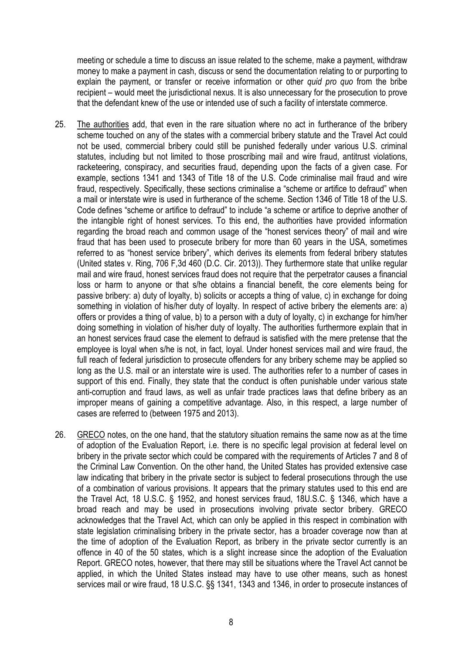meeting or schedule a time to discuss an issue related to the scheme, make a payment, withdraw money to make a payment in cash, discuss or send the documentation relating to or purporting to explain the payment, or transfer or receive information or other *quid pro quo* from the bribe recipient – would meet the jurisdictional nexus. It is also unnecessary for the prosecution to prove that the defendant knew of the use or intended use of such a facility of interstate commerce.

- 25. The authorities add, that even in the rare situation where no act in furtherance of the bribery scheme touched on any of the states with a commercial bribery statute and the Travel Act could not be used, commercial bribery could still be punished federally under various U.S. criminal statutes, including but not limited to those proscribing mail and wire fraud, antitrust violations, racketeering, conspiracy, and securities fraud, depending upon the facts of a given case. For example, sections 1341 and 1343 of Title 18 of the U.S. Code criminalise mail fraud and wire fraud, respectively. Specifically, these sections criminalise a "scheme or artifice to defraud" when a mail or interstate wire is used in furtherance of the scheme. Section 1346 of Title 18 of the U.S. Code defines "scheme or artifice to defraud" to include "a scheme or artifice to deprive another of the intangible right of honest services. To this end, the authorities have provided information regarding the broad reach and common usage of the "honest services theory" of mail and wire fraud that has been used to prosecute bribery for more than 60 years in the USA, sometimes referred to as "honest service bribery", which derives its elements from federal bribery statutes (United states v. Ring, 706 F,3d 460 (D.C. Cir. 2013)). They furthermore state that unlike regular mail and wire fraud, honest services fraud does not require that the perpetrator causes a financial loss or harm to anyone or that s/he obtains a financial benefit, the core elements being for passive bribery: a) duty of loyalty, b) solicits or accepts a thing of value, c) in exchange for doing something in violation of his/her duty of loyalty. In respect of active bribery the elements are: a) offers or provides a thing of value, b) to a person with a duty of loyalty, c) in exchange for him/her doing something in violation of his/her duty of loyalty. The authorities furthermore explain that in an honest services fraud case the element to defraud is satisfied with the mere pretense that the employee is loyal when s/he is not, in fact, loyal. Under honest services mail and wire fraud, the full reach of federal jurisdiction to prosecute offenders for any bribery scheme may be applied so long as the U.S. mail or an interstate wire is used. The authorities refer to a number of cases in support of this end. Finally, they state that the conduct is often punishable under various state anti-corruption and fraud laws, as well as unfair trade practices laws that define bribery as an improper means of gaining a competitive advantage. Also, in this respect, a large number of cases are referred to (between 1975 and 2013).
- 26. GRECO notes, on the one hand, that the statutory situation remains the same now as at the time of adoption of the Evaluation Report, i.e. there is no specific legal provision at federal level on bribery in the private sector which could be compared with the requirements of Articles 7 and 8 of the Criminal Law Convention. On the other hand, the United States has provided extensive case law indicating that bribery in the private sector is subject to federal prosecutions through the use of a combination of various provisions. It appears that the primary statutes used to this end are the Travel Act, 18 U.S.C. § 1952, and honest services fraud, 18U.S.C. § 1346, which have a broad reach and may be used in prosecutions involving private sector bribery. GRECO acknowledges that the Travel Act, which can only be applied in this respect in combination with state legislation criminalising bribery in the private sector, has a broader coverage now than at the time of adoption of the Evaluation Report, as bribery in the private sector currently is an offence in 40 of the 50 states, which is a slight increase since the adoption of the Evaluation Report. GRECO notes, however, that there may still be situations where the Travel Act cannot be applied, in which the United States instead may have to use other means, such as honest services mail or wire fraud, 18 U.S.C. §§ 1341, 1343 and 1346, in order to prosecute instances of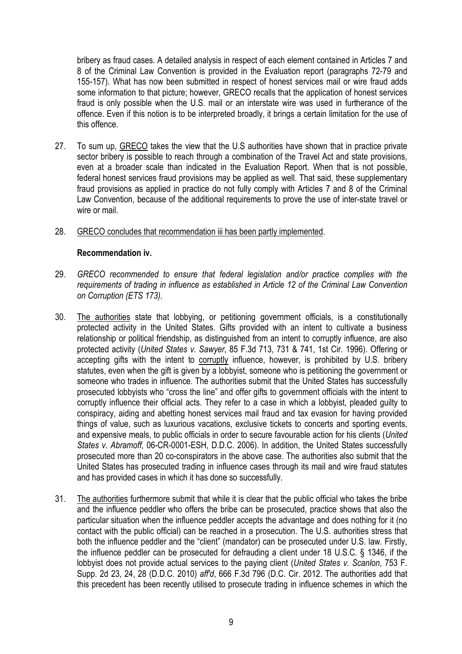bribery as fraud cases. A detailed analysis in respect of each element contained in Articles 7 and 8 of the Criminal Law Convention is provided in the Evaluation report (paragraphs 72-79 and 155-157). What has now been submitted in respect of honest services mail or wire fraud adds some information to that picture; however, GRECO recalls that the application of honest services fraud is only possible when the U.S. mail or an interstate wire was used in furtherance of the offence. Even if this notion is to be interpreted broadly, it brings a certain limitation for the use of this offence.

- 27. To sum up, GRECO takes the view that the U.S authorities have shown that in practice private sector bribery is possible to reach through a combination of the Travel Act and state provisions, even at a broader scale than indicated in the Evaluation Report. When that is not possible, federal honest services fraud provisions may be applied as well. That said, these supplementary fraud provisions as applied in practice do not fully comply with Articles 7 and 8 of the Criminal Law Convention, because of the additional requirements to prove the use of inter-state travel or wire or mail.
- 28. GRECO concludes that recommendation iii has been partly implemented.

#### **Recommendation iv.**

- 29. *GRECO recommended to ensure that federal legislation and/or practice complies with the requirements of trading in influence as established in Article 12 of the Criminal Law Convention on Corruption (ETS 173).*
- 30. The authorities state that lobbying, or petitioning government officials, is a constitutionally protected activity in the United States. Gifts provided with an intent to cultivate a business relationship or political friendship, as distinguished from an intent to corruptly influence, are also protected activity (*United States v. Sawyer*, 85 F.3d 713, 731 & 741, 1st Cir. 1996). Offering or accepting gifts with the intent to corruptly influence, however, is prohibited by U.S. bribery statutes, even when the gift is given by a lobbyist, someone who is petitioning the government or someone who trades in influence. The authorities submit that the United States has successfully prosecuted lobbyists who "cross the line" and offer gifts to government officials with the intent to corruptly influence their official acts. They refer to a case in which a lobbyist, pleaded guilty to conspiracy, aiding and abetting honest services mail fraud and tax evasion for having provided things of value, such as luxurious vacations, exclusive tickets to concerts and sporting events, and expensive meals, to public officials in order to secure favourable action for his clients (*United States v. Abramoff*, 06-CR-0001-ESH, D.D.C. 2006). In addition, the United States successfully prosecuted more than 20 co-conspirators in the above case. The authorities also submit that the United States has prosecuted trading in influence cases through its mail and wire fraud statutes and has provided cases in which it has done so successfully.
- 31. The authorities furthermore submit that while it is clear that the public official who takes the bribe and the influence peddler who offers the bribe can be prosecuted, practice shows that also the particular situation when the influence peddler accepts the advantage and does nothing for it (no contact with the public official) can be reached in a prosecution. The U.S. authorities stress that both the influence peddler and the "client" (mandator) can be prosecuted under U.S. law. Firstly, the influence peddler can be prosecuted for defrauding a client under 18 U.S.C. § 1346, if the lobbyist does not provide actual services to the paying client (*United States v. Scanlon*, 753 F. Supp. 2d 23, 24, 28 (D.D.C. 2010) *aff'd*, 666 F.3d 796 (D.C. Cir. 2012. The authorities add that this precedent has been recently utilised to prosecute trading in influence schemes in which the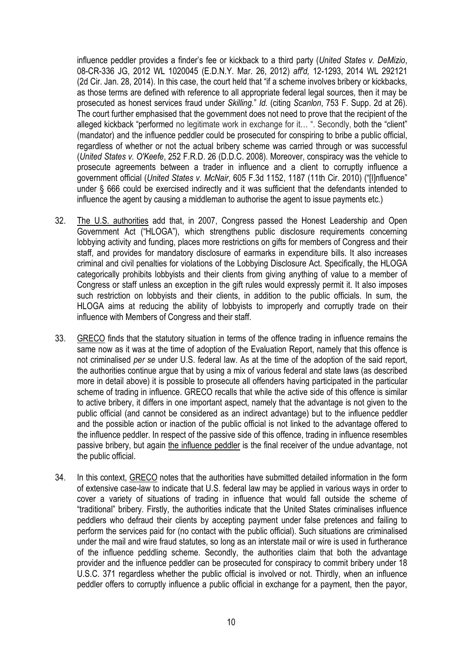influence peddler provides a finder's fee or kickback to a third party (*United States v. DeMizio*, 08-CR-336 JG, 2012 WL 1020045 (E.D.N.Y. Mar. 26, 2012) *aff'd,* 12-1293, 2014 WL 292121 (2d Cir. Jan. 28, 2014). In this case, the court held that "if a scheme involves bribery or kickbacks, as those terms are defined with reference to all appropriate federal legal sources, then it may be prosecuted as honest services fraud under *Skilling.*" *Id.* (citing *Scanlon*, 753 F. Supp. 2d at 26). The court further emphasised that the government does not need to prove that the recipient of the alleged kickback "performed no legitimate work in exchange for it… ". Secondly, both the "client" (mandator) and the influence peddler could be prosecuted for conspiring to bribe a public official, regardless of whether or not the actual bribery scheme was carried through or was successful (*United States v. O'Keefe*, 252 F.R.D. 26 (D.D.C. 2008). Moreover, conspiracy was the vehicle to prosecute agreements between a trader in influence and a client to corruptly influence a government official (*United States v. McNair*, 605 F.3d 1152, 1187 (11th Cir. 2010) ("[I]nfluence" under § 666 could be exercised indirectly and it was sufficient that the defendants intended to influence the agent by causing a middleman to authorise the agent to issue payments etc.)

- 32. The U.S. authorities add that, in 2007, Congress passed the Honest Leadership and Open Government Act ("HLOGA"), which strengthens public disclosure requirements concerning lobbying activity and funding, places more restrictions on gifts for members of Congress and their staff, and provides for mandatory disclosure of earmarks in expenditure bills. It also increases criminal and civil penalties for violations of the Lobbying Disclosure Act. Specifically, the HLOGA categorically prohibits lobbyists and their clients from giving anything of value to a member of Congress or staff unless an exception in the gift rules would expressly permit it. It also imposes such restriction on lobbyists and their clients, in addition to the public officials. In sum, the HLOGA aims at reducing the ability of lobbyists to improperly and corruptly trade on their influence with Members of Congress and their staff.
- 33. GRECO finds that the statutory situation in terms of the offence trading in influence remains the same now as it was at the time of adoption of the Evaluation Report, namely that this offence is not criminalised *per se* under U.S. federal law. As at the time of the adoption of the said report, the authorities continue argue that by using a mix of various federal and state laws (as described more in detail above) it is possible to prosecute all offenders having participated in the particular scheme of trading in influence. GRECO recalls that while the active side of this offence is similar to active bribery, it differs in one important aspect, namely that the advantage is not given to the public official (and cannot be considered as an indirect advantage) but to the influence peddler and the possible action or inaction of the public official is not linked to the advantage offered to the influence peddler. In respect of the passive side of this offence, trading in influence resembles passive bribery, but again the influence peddler is the final receiver of the undue advantage, not the public official.
- 34. In this context, GRECO notes that the authorities have submitted detailed information in the form of extensive case-law to indicate that U.S. federal law may be applied in various ways in order to cover a variety of situations of trading in influence that would fall outside the scheme of "traditional" bribery. Firstly, the authorities indicate that the United States criminalises influence peddlers who defraud their clients by accepting payment under false pretences and failing to perform the services paid for (no contact with the public official). Such situations are criminalised under the mail and wire fraud statutes, so long as an interstate mail or wire is used in furtherance of the influence peddling scheme. Secondly, the authorities claim that both the advantage provider and the influence peddler can be prosecuted for conspiracy to commit bribery under 18 U.S.C. 371 regardless whether the public official is involved or not. Thirdly, when an influence peddler offers to corruptly influence a public official in exchange for a payment, then the payor,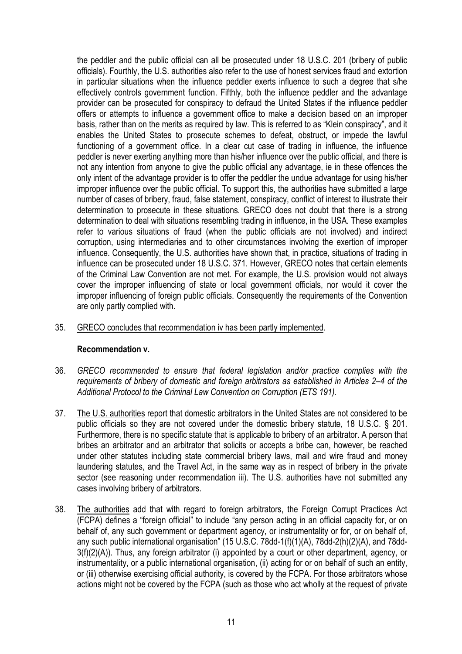the peddler and the public official can all be prosecuted under 18 U.S.C. 201 (bribery of public officials). Fourthly, the U.S. authorities also refer to the use of honest services fraud and extortion in particular situations when the influence peddler exerts influence to such a degree that s/he effectively controls government function. Fifthly, both the influence peddler and the advantage provider can be prosecuted for conspiracy to defraud the United States if the influence peddler offers or attempts to influence a government office to make a decision based on an improper basis, rather than on the merits as required by law. This is referred to as "Klein conspiracy", and it enables the United States to prosecute schemes to defeat, obstruct, or impede the lawful functioning of a government office. In a clear cut case of trading in influence, the influence peddler is never exerting anything more than his/her influence over the public official, and there is not any intention from anyone to give the public official any advantage, ie in these offences the only intent of the advantage provider is to offer the peddler the undue advantage for using his/her improper influence over the public official. To support this, the authorities have submitted a large number of cases of bribery, fraud, false statement, conspiracy, conflict of interest to illustrate their determination to prosecute in these situations. GRECO does not doubt that there is a strong determination to deal with situations resembling trading in influence, in the USA. These examples refer to various situations of fraud (when the public officials are not involved) and indirect corruption, using intermediaries and to other circumstances involving the exertion of improper influence. Consequently, the U.S. authorities have shown that, in practice, situations of trading in influence can be prosecuted under 18 U.S.C. 371. However, GRECO notes that certain elements of the Criminal Law Convention are not met. For example, the U.S. provision would not always cover the improper influencing of state or local government officials, nor would it cover the improper influencing of foreign public officials. Consequently the requirements of the Convention are only partly complied with.

#### 35. GRECO concludes that recommendation iv has been partly implemented.

#### **Recommendation v.**

- 36. *GRECO recommended to ensure that federal legislation and/or practice complies with the requirements of bribery of domestic and foreign arbitrators as established in Articles 2–4 of the Additional Protocol to the Criminal Law Convention on Corruption (ETS 191).*
- 37. The U.S. authorities report that domestic arbitrators in the United States are not considered to be public officials so they are not covered under the domestic bribery statute, 18 U.S.C. § 201. Furthermore, there is no specific statute that is applicable to bribery of an arbitrator. A person that bribes an arbitrator and an arbitrator that solicits or accepts a bribe can, however, be reached under other statutes including state commercial bribery laws, mail and wire fraud and money laundering statutes, and the Travel Act, in the same way as in respect of bribery in the private sector (see reasoning under recommendation iii). The U.S. authorities have not submitted any cases involving bribery of arbitrators.
- 38. The authorities add that with regard to foreign arbitrators, the Foreign Corrupt Practices Act (FCPA) defines a "foreign official" to include "any person acting in an official capacity for, or on behalf of, any such government or department agency, or instrumentality or for, or on behalf of, any such public international organisation" (15 U.S.C. 78dd-1(f)(1)(A), 78dd-2(h)(2)(A), and 78dd-3(f)(2)(A)). Thus, any foreign arbitrator (i) appointed by a court or other department, agency, or instrumentality, or a public international organisation, (ii) acting for or on behalf of such an entity, or (iii) otherwise exercising official authority, is covered by the FCPA. For those arbitrators whose actions might not be covered by the FCPA (such as those who act wholly at the request of private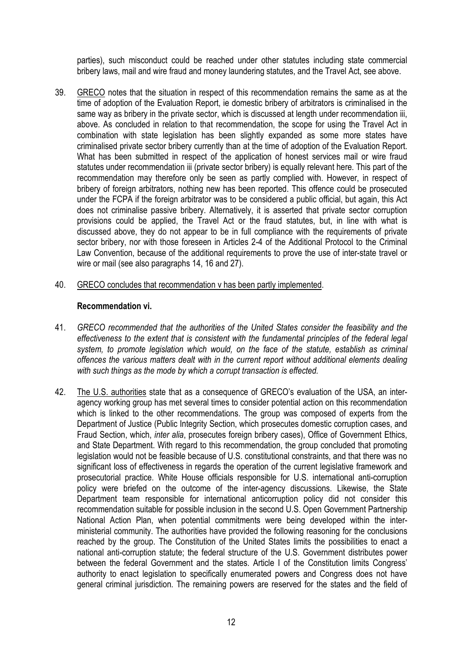parties), such misconduct could be reached under other statutes including state commercial bribery laws, mail and wire fraud and money laundering statutes, and the Travel Act, see above.

- 39. GRECO notes that the situation in respect of this recommendation remains the same as at the time of adoption of the Evaluation Report, ie domestic bribery of arbitrators is criminalised in the same way as bribery in the private sector, which is discussed at length under recommendation iii, above. As concluded in relation to that recommendation, the scope for using the Travel Act in combination with state legislation has been slightly expanded as some more states have criminalised private sector bribery currently than at the time of adoption of the Evaluation Report. What has been submitted in respect of the application of honest services mail or wire fraud statutes under recommendation iii (private sector bribery) is equally relevant here. This part of the recommendation may therefore only be seen as partly complied with. However, in respect of bribery of foreign arbitrators, nothing new has been reported. This offence could be prosecuted under the FCPA if the foreign arbitrator was to be considered a public official, but again, this Act does not criminalise passive bribery. Alternatively, it is asserted that private sector corruption provisions could be applied, the Travel Act or the fraud statutes, but, in line with what is discussed above, they do not appear to be in full compliance with the requirements of private sector bribery, nor with those foreseen in Articles 2-4 of the Additional Protocol to the Criminal Law Convention, because of the additional requirements to prove the use of inter-state travel or wire or mail (see also paragraphs 14, 16 and 27).
- 40. GRECO concludes that recommendation v has been partly implemented.

#### **Recommendation vi.**

- 41. *GRECO recommended that the authorities of the United States consider the feasibility and the effectiveness to the extent that is consistent with the fundamental principles of the federal legal system, to promote legislation which would, on the face of the statute, establish as criminal offences the various matters dealt with in the current report without additional elements dealing with such things as the mode by which a corrupt transaction is effected.*
- 42. The U.S. authorities state that as a consequence of GRECO's evaluation of the USA, an interagency working group has met several times to consider potential action on this recommendation which is linked to the other recommendations. The group was composed of experts from the Department of Justice (Public Integrity Section, which prosecutes domestic corruption cases, and Fraud Section, which, *inter alia*, prosecutes foreign bribery cases), Office of Government Ethics, and State Department. With regard to this recommendation, the group concluded that promoting legislation would not be feasible because of U.S. constitutional constraints, and that there was no significant loss of effectiveness in regards the operation of the current legislative framework and prosecutorial practice. White House officials responsible for U.S. international anti-corruption policy were briefed on the outcome of the inter-agency discussions. Likewise, the State Department team responsible for international anticorruption policy did not consider this recommendation suitable for possible inclusion in the second U.S. Open Government Partnership National Action Plan, when potential commitments were being developed within the interministerial community. The authorities have provided the following reasoning for the conclusions reached by the group. The Constitution of the United States limits the possibilities to enact a national anti-corruption statute; the federal structure of the U.S. Government distributes power between the federal Government and the states. Article I of the Constitution limits Congress' authority to enact legislation to specifically enumerated powers and Congress does not have general criminal jurisdiction. The remaining powers are reserved for the states and the field of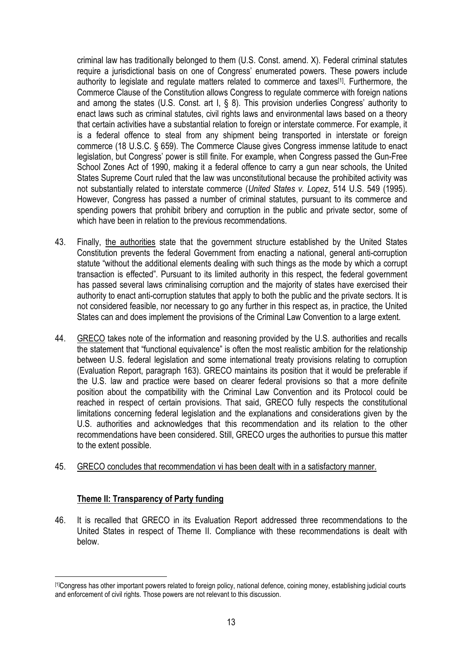criminal law has traditionally belonged to them (U.S. Const. amend. X). Federal criminal statutes require a jurisdictional basis on one of Congress' enumerated powers. These powers include authority to legislate and regulate matters related to commerce and taxes<sup>[1]</sup>. Furthermore, the Commerce Clause of the Constitution allows Congress to regulate commerce with foreign nations and among the states (U.S. Const. art I, § 8). This provision underlies Congress' authority to enact laws such as criminal statutes, civil rights laws and environmental laws based on a theory that certain activities have a substantial relation to foreign or interstate commerce. For example, it is a federal offence to steal from any shipment being transported in interstate or foreign commerce (18 U.S.C. § 659). The Commerce Clause gives Congress immense latitude to enact legislation, but Congress' power is still finite. For example, when Congress passed the Gun-Free School Zones Act of 1990, making it a federal offence to carry a gun near schools, the United States Supreme Court ruled that the law was unconstitutional because the prohibited activity was not substantially related to interstate commerce (*United States v. Lopez*, 514 U.S. 549 (1995). However, Congress has passed a number of criminal statutes, pursuant to its commerce and spending powers that prohibit bribery and corruption in the public and private sector, some of which have been in relation to the previous recommendations.

- 43. Finally, the authorities state that the government structure established by the United States Constitution prevents the federal Government from enacting a national, general anti-corruption statute "without the additional elements dealing with such things as the mode by which a corrupt transaction is effected". Pursuant to its limited authority in this respect, the federal government has passed several laws criminalising corruption and the majority of states have exercised their authority to enact anti-corruption statutes that apply to both the public and the private sectors. It is not considered feasible, nor necessary to go any further in this respect as, in practice, the United States can and does implement the provisions of the Criminal Law Convention to a large extent.
- 44. GRECO takes note of the information and reasoning provided by the U.S. authorities and recalls the statement that "functional equivalence" is often the most realistic ambition for the relationship between U.S. federal legislation and some international treaty provisions relating to corruption (Evaluation Report, paragraph 163). GRECO maintains its position that it would be preferable if the U.S. law and practice were based on clearer federal provisions so that a more definite position about the compatibility with the Criminal Law Convention and its Protocol could be reached in respect of certain provisions. That said, GRECO fully respects the constitutional limitations concerning federal legislation and the explanations and considerations given by the U.S. authorities and acknowledges that this recommendation and its relation to the other recommendations have been considered. Still, GRECO urges the authorities to pursue this matter to the extent possible.
- 45. GRECO concludes that recommendation vi has been dealt with in a satisfactory manner.

#### **Theme II: Transparency of Party funding**

 $\overline{a}$ 

46. It is recalled that GRECO in its Evaluation Report addressed three recommendations to the United States in respect of Theme II. Compliance with these recommendations is dealt with below.

<sup>[1]</sup>Congress has other important powers related to foreign policy, national defence, coining money, establishing judicial courts and enforcement of civil rights. Those powers are not relevant to this discussion.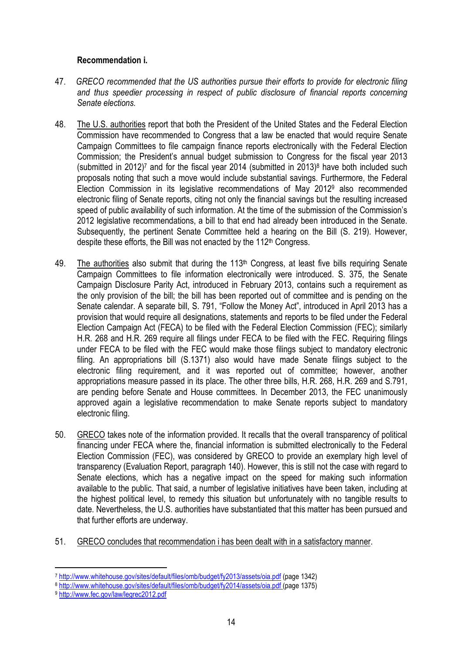#### **Recommendation i.**

- 47. *GRECO recommended that the US authorities pursue their efforts to provide for electronic filing and thus speedier processing in respect of public disclosure of financial reports concerning Senate elections.*
- 48. The U.S. authorities report that both the President of the United States and the Federal Election Commission have recommended to Congress that a law be enacted that would require Senate Campaign Committees to file campaign finance reports electronically with the Federal Election Commission; the President's annual budget submission to Congress for the fiscal year 2013 (submitted in 2012)<sup>7</sup> and for the fiscal year 2014 (submitted in 2013)<sup>8</sup> have both included such proposals noting that such a move would include substantial savings. Furthermore, the Federal Election Commission in its legislative recommendations of May 2012<sup>9</sup> also recommended electronic filing of Senate reports, citing not only the financial savings but the resulting increased speed of public availability of such information. At the time of the submission of the Commission's 2012 legislative recommendations, a bill to that end had already been introduced in the Senate. Subsequently, the pertinent Senate Committee held a hearing on the Bill (S. 219). However, despite these efforts, the Bill was not enacted by the  $112<sup>th</sup>$  Congress.
- 49. The authorities also submit that during the 113<sup>th</sup> Congress, at least five bills requiring Senate Campaign Committees to file information electronically were introduced. S. 375, the Senate Campaign Disclosure Parity Act, introduced in February 2013, contains such a requirement as the only provision of the bill; the bill has been reported out of committee and is pending on the Senate calendar. A separate bill, S. 791, "Follow the Money Act", introduced in April 2013 has a provision that would require all designations, statements and reports to be filed under the Federal Election Campaign Act (FECA) to be filed with the Federal Election Commission (FEC); similarly H.R. 268 and H.R. 269 require all filings under FECA to be filed with the FEC. Requiring filings under FECA to be filed with the FEC would make those filings subject to mandatory electronic filing. An appropriations bill (S.1371) also would have made Senate filings subject to the electronic filing requirement, and it was reported out of committee; however, another appropriations measure passed in its place. The other three bills, H.R. 268, H.R. 269 and S.791, are pending before Senate and House committees. In December 2013, the FEC unanimously approved again a legislative recommendation to make Senate reports subject to mandatory electronic filing.
- 50. GRECO takes note of the information provided. It recalls that the overall transparency of political financing under FECA where the, financial information is submitted electronically to the Federal Election Commission (FEC), was considered by GRECO to provide an exemplary high level of transparency (Evaluation Report, paragraph 140). However, this is still not the case with regard to Senate elections, which has a negative impact on the speed for making such information available to the public. That said, a number of legislative initiatives have been taken, including at the highest political level, to remedy this situation but unfortunately with no tangible results to date. Nevertheless, the U.S. authorities have substantiated that this matter has been pursued and that further efforts are underway.
- 51. GRECO concludes that recommendation i has been dealt with in a satisfactory manner.

 $\overline{a}$ 

<sup>7</sup> http://www.whitehouse.gov/sites/default/files/omb/budget/fy2013/assets/oia.pdf (page 1342)

<sup>8</sup> http://www.whitehouse.gov/sites/default/files/omb/budget/fy2014/assets/oia.pdf (page 1375)

<sup>9</sup> http://www.fec.gov/law/legrec2012.pdf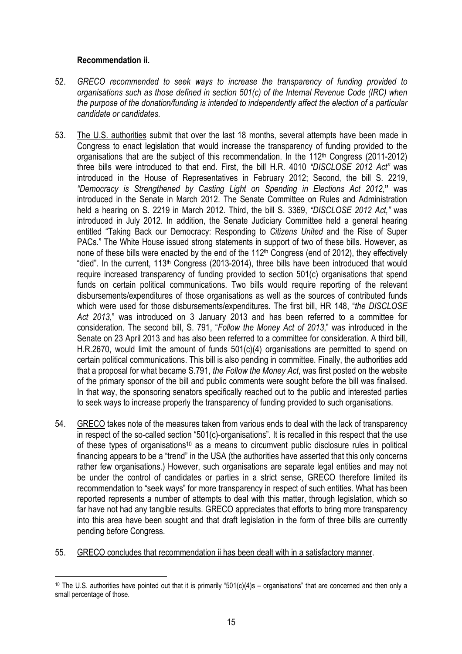#### **Recommendation ii.**

- 52. *GRECO recommended to seek ways to increase the transparency of funding provided to organisations such as those defined in section 501(c) of the Internal Revenue Code (IRC) when the purpose of the donation/funding is intended to independently affect the election of a particular candidate or candidates.*
- 53. The U.S. authorities submit that over the last 18 months, several attempts have been made in Congress to enact legislation that would increase the transparency of funding provided to the organisations that are the subject of this recommendation. In the  $112<sup>th</sup>$  Congress (2011-2012) three bills were introduced to that end. First, the bill H.R. 4010 *"DISCLOSE 2012 Act"* was introduced in the House of Representatives in February 2012; Second, the bill S. 2219, *"Democracy is Strengthened by Casting Light on Spending in Elections Act 2012,***"** was introduced in the Senate in March 2012. The Senate Committee on Rules and Administration held a hearing on S. 2219 in March 2012. Third, the bill S. 3369, *"DISCLOSE 2012 Act,"* was introduced in July 2012. In addition, the Senate Judiciary Committee held a general hearing entitled "Taking Back our Democracy: Responding to *Citizens United* and the Rise of Super PACs." The White House issued strong statements in support of two of these bills. However, as none of these bills were enacted by the end of the 112<sup>th</sup> Congress (end of 2012), they effectively "died". In the current, 113<sup>th</sup> Congress (2013-2014), three bills have been introduced that would require increased transparency of funding provided to section 501(c) organisations that spend funds on certain political communications. Two bills would require reporting of the relevant disbursements/expenditures of those organisations as well as the sources of contributed funds which were used for those disbursements/expenditures. The first bill, HR 148, "*the DISCLOSE Act 2013*," was introduced on 3 January 2013 and has been referred to a committee for consideration. The second bill, S. 791, "*Follow the Money Act of 2013*," was introduced in the Senate on 23 April 2013 and has also been referred to a committee for consideration. A third bill, H.R.2670, would limit the amount of funds 501(c)(4) organisations are permitted to spend on certain political communications. This bill is also pending in committee. Finally, the authorities add that a proposal for what became S.791, *the Follow the Money Act*, was first posted on the website of the primary sponsor of the bill and public comments were sought before the bill was finalised. In that way, the sponsoring senators specifically reached out to the public and interested parties to seek ways to increase properly the transparency of funding provided to such organisations.
- 54. GRECO takes note of the measures taken from various ends to deal with the lack of transparency in respect of the so-called section "501(c)-organisations". It is recalled in this respect that the use of these types of organisations<sup>10</sup> as a means to circumvent public disclosure rules in political financing appears to be a "trend" in the USA (the authorities have asserted that this only concerns rather few organisations.) However, such organisations are separate legal entities and may not be under the control of candidates or parties in a strict sense, GRECO therefore limited its recommendation to "seek ways" for more transparency in respect of such entities. What has been reported represents a number of attempts to deal with this matter, through legislation, which so far have not had any tangible results. GRECO appreciates that efforts to bring more transparency into this area have been sought and that draft legislation in the form of three bills are currently pending before Congress.
- 55. GRECO concludes that recommendation ii has been dealt with in a satisfactory manner.

 $\overline{a}$ <sup>10</sup> The U.S. authorities have pointed out that it is primarily "501(c)(4)s – organisations" that are concerned and then only a small percentage of those.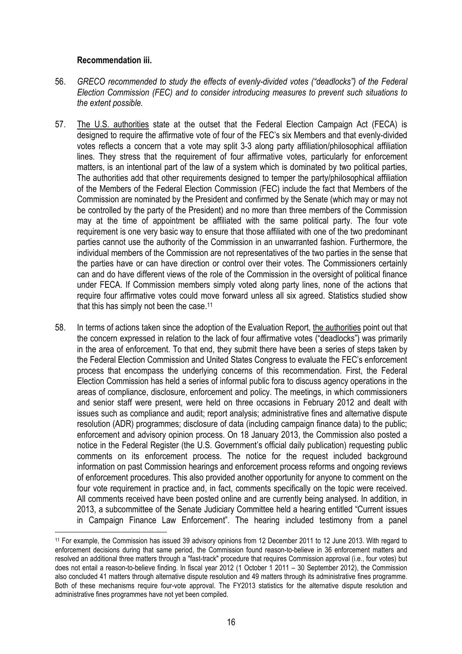#### **Recommendation iii.**

 $\overline{a}$ 

- 56. *GRECO recommended to study the effects of evenly-divided votes ("deadlocks") of the Federal Election Commission (FEC) and to consider introducing measures to prevent such situations to the extent possible.*
- 57. The U.S. authorities state at the outset that the Federal Election Campaign Act (FECA) is designed to require the affirmative vote of four of the FEC's six Members and that evenly-divided votes reflects a concern that a vote may split 3-3 along party affiliation/philosophical affiliation lines. They stress that the requirement of four affirmative votes, particularly for enforcement matters, is an intentional part of the law of a system which is dominated by two political parties, The authorities add that other requirements designed to temper the party/philosophical affiliation of the Members of the Federal Election Commission (FEC) include the fact that Members of the Commission are nominated by the President and confirmed by the Senate (which may or may not be controlled by the party of the President) and no more than three members of the Commission may at the time of appointment be affiliated with the same political party. The four vote requirement is one very basic way to ensure that those affiliated with one of the two predominant parties cannot use the authority of the Commission in an unwarranted fashion. Furthermore, the individual members of the Commission are not representatives of the two parties in the sense that the parties have or can have direction or control over their votes. The Commissioners certainly can and do have different views of the role of the Commission in the oversight of political finance under FECA. If Commission members simply voted along party lines, none of the actions that require four affirmative votes could move forward unless all six agreed. Statistics studied show that this has simply not been the case.<sup>11</sup>
- 58. In terms of actions taken since the adoption of the Evaluation Report, the authorities point out that the concern expressed in relation to the lack of four affirmative votes ("deadlocks") was primarily in the area of enforcement. To that end, they submit there have been a series of steps taken by the Federal Election Commission and United States Congress to evaluate the FEC's enforcement process that encompass the underlying concerns of this recommendation. First, the Federal Election Commission has held a series of informal public fora to discuss agency operations in the areas of compliance, disclosure, enforcement and policy. The meetings, in which commissioners and senior staff were present, were held on three occasions in February 2012 and dealt with issues such as compliance and audit; report analysis; administrative fines and alternative dispute resolution (ADR) programmes; disclosure of data (including campaign finance data) to the public; enforcement and advisory opinion process. On 18 January 2013, the Commission also posted a notice in the Federal Register (the U.S. Government's official daily publication) requesting public comments on its enforcement process. The notice for the request included background information on past Commission hearings and enforcement process reforms and ongoing reviews of enforcement procedures. This also provided another opportunity for anyone to comment on the four vote requirement in practice and, in fact, comments specifically on the topic were received. All comments received have been posted online and are currently being analysed. In addition, in 2013, a subcommittee of the Senate Judiciary Committee held a hearing entitled "Current issues in Campaign Finance Law Enforcement". The hearing included testimony from a panel

<sup>11</sup> For example, the Commission has issued 39 advisory opinions from 12 December 2011 to 12 June 2013. With regard to enforcement decisions during that same period, the Commission found reason-to-believe in 36 enforcement matters and resolved an additional three matters through a "fast-track" procedure that requires Commission approval (i.e., four votes) but does not entail a reason-to-believe finding. In fiscal year 2012 (1 October 1 2011 – 30 September 2012), the Commission also concluded 41 matters through alternative dispute resolution and 49 matters through its administrative fines programme. Both of these mechanisms require four-vote approval. The FY2013 statistics for the alternative dispute resolution and administrative fines programmes have not yet been compiled.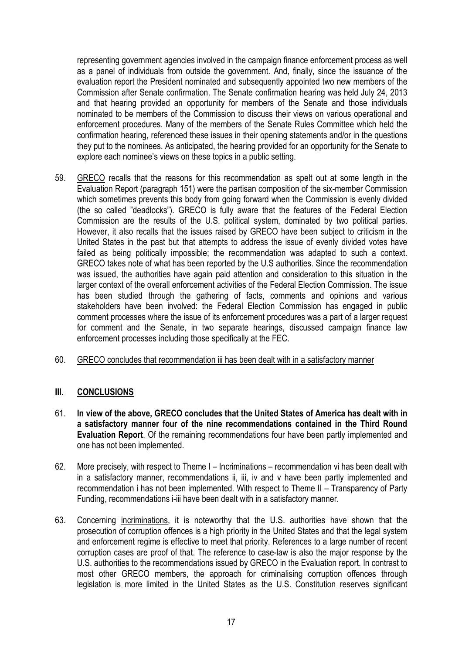representing government agencies involved in the campaign finance enforcement process as well as a panel of individuals from outside the government. And, finally, since the issuance of the evaluation report the President nominated and subsequently appointed two new members of the Commission after Senate confirmation. The Senate confirmation hearing was held July 24, 2013 and that hearing provided an opportunity for members of the Senate and those individuals nominated to be members of the Commission to discuss their views on various operational and enforcement procedures. Many of the members of the Senate Rules Committee which held the confirmation hearing, referenced these issues in their opening statements and/or in the questions they put to the nominees. As anticipated, the hearing provided for an opportunity for the Senate to explore each nominee's views on these topics in a public setting.

- 59. GRECO recalls that the reasons for this recommendation as spelt out at some length in the Evaluation Report (paragraph 151) were the partisan composition of the six-member Commission which sometimes prevents this body from going forward when the Commission is evenly divided (the so called "deadlocks"). GRECO is fully aware that the features of the Federal Election Commission are the results of the U.S. political system, dominated by two political parties. However, it also recalls that the issues raised by GRECO have been subject to criticism in the United States in the past but that attempts to address the issue of evenly divided votes have failed as being politically impossible; the recommendation was adapted to such a context. GRECO takes note of what has been reported by the U.S authorities. Since the recommendation was issued, the authorities have again paid attention and consideration to this situation in the larger context of the overall enforcement activities of the Federal Election Commission. The issue has been studied through the gathering of facts, comments and opinions and various stakeholders have been involved: the Federal Election Commission has engaged in public comment processes where the issue of its enforcement procedures was a part of a larger request for comment and the Senate, in two separate hearings, discussed campaign finance law enforcement processes including those specifically at the FEC.
- 60. GRECO concludes that recommendation iii has been dealt with in a satisfactory manner

#### **III. CONCLUSIONS**

- 61. **In view of the above, GRECO concludes that the United States of America has dealt with in a satisfactory manner four of the nine recommendations contained in the Third Round Evaluation Report**. Of the remaining recommendations four have been partly implemented and one has not been implemented.
- 62. More precisely, with respect to Theme I Incriminations recommendation vi has been dealt with in a satisfactory manner, recommendations ii, iii, iv and v have been partly implemented and recommendation i has not been implemented. With respect to Theme II – Transparency of Party Funding, recommendations i-iii have been dealt with in a satisfactory manner.
- 63. Concerning incriminations, it is noteworthy that the U.S. authorities have shown that the prosecution of corruption offences is a high priority in the United States and that the legal system and enforcement regime is effective to meet that priority. References to a large number of recent corruption cases are proof of that. The reference to case-law is also the major response by the U.S. authorities to the recommendations issued by GRECO in the Evaluation report. In contrast to most other GRECO members, the approach for criminalising corruption offences through legislation is more limited in the United States as the U.S. Constitution reserves significant